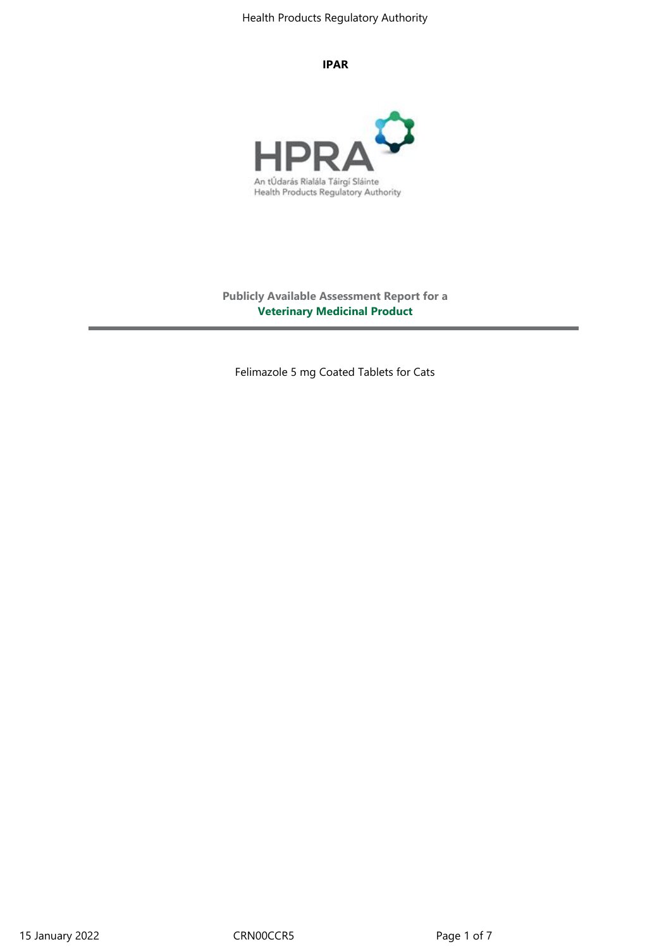#### **IPAR**



**Publicly Available Assessment Report for a Veterinary Medicinal Product**

Felimazole 5 mg Coated Tablets for Cats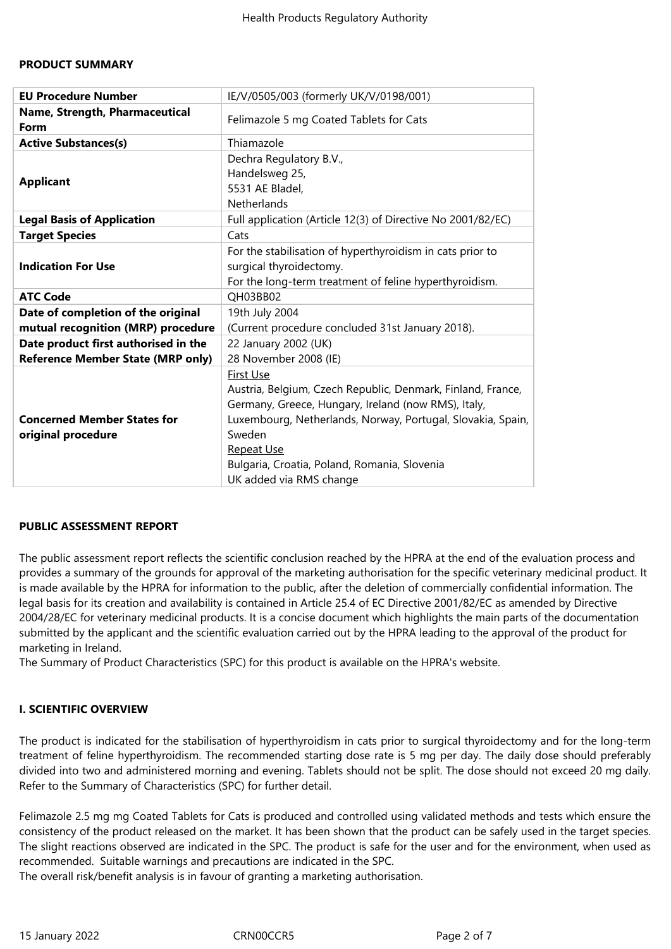#### **PRODUCT SUMMARY**

| <b>EU Procedure Number</b>                                                       | IE/V/0505/003 (formerly UK/V/0198/001)                                                                                                                                                                                                                                                                   |
|----------------------------------------------------------------------------------|----------------------------------------------------------------------------------------------------------------------------------------------------------------------------------------------------------------------------------------------------------------------------------------------------------|
| Name, Strength, Pharmaceutical<br>Form                                           | Felimazole 5 mg Coated Tablets for Cats                                                                                                                                                                                                                                                                  |
| <b>Active Substances(s)</b>                                                      | Thiamazole                                                                                                                                                                                                                                                                                               |
| <b>Applicant</b>                                                                 | Dechra Regulatory B.V.,<br>Handelsweg 25,<br>5531 AE Bladel,<br>Netherlands                                                                                                                                                                                                                              |
| <b>Legal Basis of Application</b>                                                | Full application (Article 12(3) of Directive No 2001/82/EC)                                                                                                                                                                                                                                              |
| <b>Target Species</b>                                                            | Cats                                                                                                                                                                                                                                                                                                     |
| <b>Indication For Use</b>                                                        | For the stabilisation of hyperthyroidism in cats prior to<br>surgical thyroidectomy.<br>For the long-term treatment of feline hyperthyroidism.                                                                                                                                                           |
| <b>ATC Code</b>                                                                  | QH03BB02                                                                                                                                                                                                                                                                                                 |
| Date of completion of the original<br>mutual recognition (MRP) procedure         | 19th July 2004<br>(Current procedure concluded 31st January 2018).                                                                                                                                                                                                                                       |
| Date product first authorised in the<br><b>Reference Member State (MRP only)</b> | 22 January 2002 (UK)<br>28 November 2008 (IE)                                                                                                                                                                                                                                                            |
| <b>Concerned Member States for</b><br>original procedure                         | <b>First Use</b><br>Austria, Belgium, Czech Republic, Denmark, Finland, France,<br>Germany, Greece, Hungary, Ireland (now RMS), Italy,<br>Luxembourg, Netherlands, Norway, Portugal, Slovakia, Spain,<br>Sweden<br>Repeat Use<br>Bulgaria, Croatia, Poland, Romania, Slovenia<br>UK added via RMS change |

#### **PUBLIC ASSESSMENT REPORT**

The public assessment report reflects the scientific conclusion reached by the HPRA at the end of the evaluation process and provides a summary of the grounds for approval of the marketing authorisation for the specific veterinary medicinal product. It is made available by the HPRA for information to the public, after the deletion of commercially confidential information. The legal basis for its creation and availability is contained in Article 25.4 of EC Directive 2001/82/EC as amended by Directive 2004/28/EC for veterinary medicinal products. It is a concise document which highlights the main parts of the documentation submitted by the applicant and the scientific evaluation carried out by the HPRA leading to the approval of the product for marketing in Ireland.

The Summary of Product Characteristics (SPC) for this product is available on the HPRA's website.

#### **I. SCIENTIFIC OVERVIEW**

The product is indicated for the stabilisation of hyperthyroidism in cats prior to surgical thyroidectomy and for the long-term treatment of feline hyperthyroidism. The recommended starting dose rate is 5 mg per day. The daily dose should preferably divided into two and administered morning and evening. Tablets should not be split. The dose should not exceed 20 mg daily. Refer to the Summary of Characteristics (SPC) for further detail.

Felimazole 2.5 mg mg Coated Tablets for Cats is produced and controlled using validated methods and tests which ensure the consistency of the product released on the market. It has been shown that the product can be safely used in the target species. The slight reactions observed are indicated in the SPC. The product is safe for the user and for the environment, when used as recommended. Suitable warnings and precautions are indicated in the SPC.

The overall risk/benefit analysis is in favour of granting a marketing authorisation.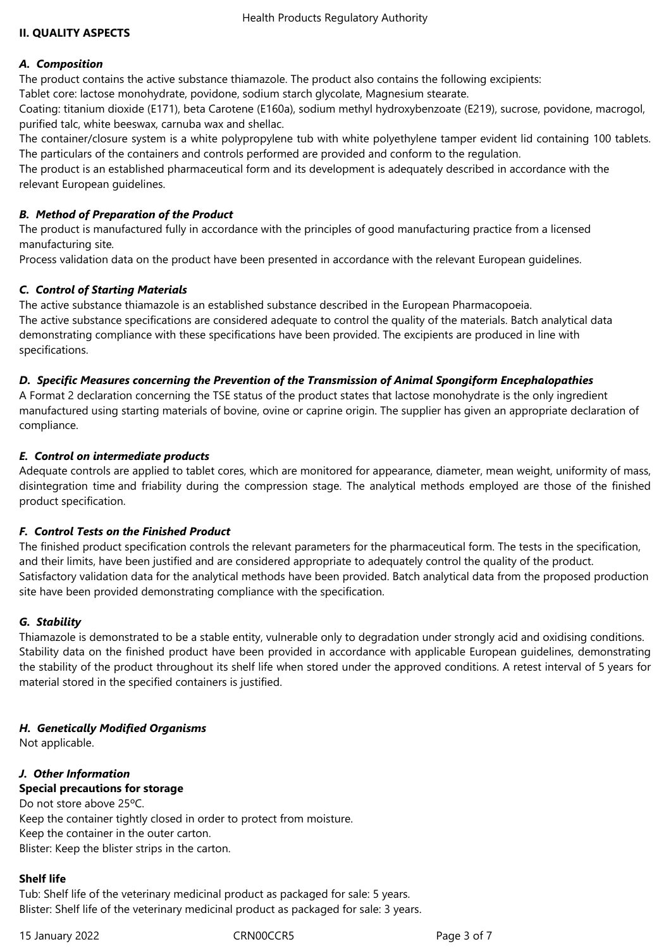Health Products Regulatory Authority

### **II. QUALITY ASPECTS**

#### *A. Composition*

The product contains the active substance thiamazole. The product also contains the following excipients:

Tablet core: lactose monohydrate, povidone, sodium starch glycolate, Magnesium stearate.

Coating: titanium dioxide (E171), beta Carotene (E160a), sodium methyl hydroxybenzoate (E219), sucrose, povidone, macrogol, purified talc, white beeswax, carnuba wax and shellac.

The container/closure system is a white polypropylene tub with white polyethylene tamper evident lid containing 100 tablets. The particulars of the containers and controls performed are provided and conform to the regulation.

The product is an established pharmaceutical form and its development is adequately described in accordance with the relevant European guidelines.

## *B. Method of Preparation of the Product*

The product is manufactured fully in accordance with the principles of good manufacturing practice from a licensed manufacturing site*.*

Process validation data on the product have been presented in accordance with the relevant European guidelines.

# *C. Control of Starting Materials*

The active substance thiamazole is an established substance described in the European Pharmacopoeia. The active substance specifications are considered adequate to control the quality of the materials. Batch analytical data demonstrating compliance with these specifications have been provided. The excipients are produced in line with specifications.

# *D. Specific Measures concerning the Prevention of the Transmission of Animal Spongiform Encephalopathies*

A Format 2 declaration concerning the TSE status of the product states that lactose monohydrate is the only ingredient manufactured using starting materials of bovine, ovine or caprine origin. The supplier has given an appropriate declaration of compliance.

### *E. Control on intermediate products*

Adequate controls are applied to tablet cores, which are monitored for appearance, diameter, mean weight, uniformity of mass, disintegration time and friability during the compression stage. The analytical methods employed are those of the finished product specification.

# *F. Control Tests on the Finished Product*

The finished product specification controls the relevant parameters for the pharmaceutical form. The tests in the specification, and their limits, have been justified and are considered appropriate to adequately control the quality of the product. Satisfactory validation data for the analytical methods have been provided. Batch analytical data from the proposed production site have been provided demonstrating compliance with the specification.

# *G. Stability*

Thiamazole is demonstrated to be a stable entity, vulnerable only to degradation under strongly acid and oxidising conditions. Stability data on the finished product have been provided in accordance with applicable European guidelines, demonstrating the stability of the product throughout its shelf life when stored under the approved conditions. A retest interval of 5 years for material stored in the specified containers is justified.

# *H. Genetically Modified Organisms*

Not applicable.

# *J. Other Information*

# **Special precautions for storage**

Do not store above 25ºC. Keep the container tightly closed in order to protect from moisture. Keep the container in the outer carton. Blister: Keep the blister strips in the carton.

#### **Shelf life**

Tub: Shelf life of the veterinary medicinal product as packaged for sale: 5 years. Blister: Shelf life of the veterinary medicinal product as packaged for sale: 3 years.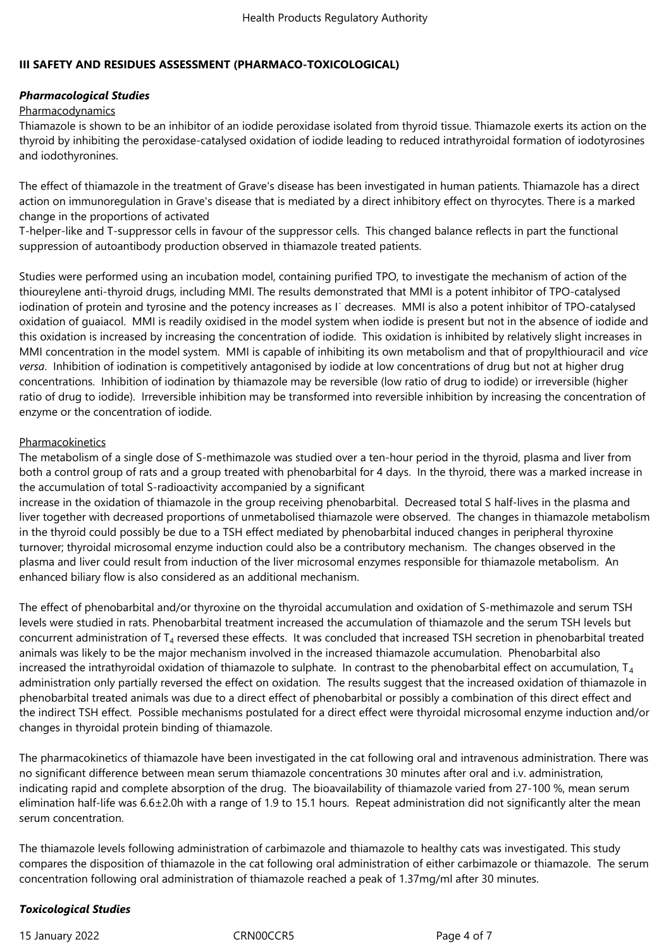# **III SAFETY AND RESIDUES ASSESSMENT (PHARMACO-TOXICOLOGICAL)**

# *Pharmacological Studies*

## Pharmacodynamics

Thiamazole is shown to be an inhibitor of an iodide peroxidase isolated from thyroid tissue. Thiamazole exerts its action on the thyroid by inhibiting the peroxidase-catalysed oxidation of iodide leading to reduced intrathyroidal formation of iodotyrosines and iodothyronines.

The effect of thiamazole in the treatment of Grave's disease has been investigated in human patients. Thiamazole has a direct action on immunoregulation in Grave's disease that is mediated by a direct inhibitory effect on thyrocytes. There is a marked change in the proportions of activated

T-helper-like and T-suppressor cells in favour of the suppressor cells. This changed balance reflects in part the functional suppression of autoantibody production observed in thiamazole treated patients.

Studies were performed using an incubation model, containing purified TPO, to investigate the mechanism of action of the thioureylene anti-thyroid drugs, including MMI. The results demonstrated that MMI is a potent inhibitor of TPO-catalysed iodination of protein and tyrosine and the potency increases as I<sup>-</sup> decreases. MMI is also a potent inhibitor of TPO-catalysed oxidation of guaiacol. MMI is readily oxidised in the model system when iodide is present but not in the absence of iodide and this oxidation is increased by increasing the concentration of iodide. This oxidation is inhibited by relatively slight increases in MMI concentration in the model system. MMI is capable of inhibiting its own metabolism and that of propylthiouracil and *vice versa*. Inhibition of iodination is competitively antagonised by iodide at low concentrations of drug but not at higher drug concentrations. Inhibition of iodination by thiamazole may be reversible (low ratio of drug to iodide) or irreversible (higher ratio of drug to iodide). Irreversible inhibition may be transformed into reversible inhibition by increasing the concentration of enzyme or the concentration of iodide.

# Pharmacokinetics

The metabolism of a single dose of S-methimazole was studied over a ten-hour period in the thyroid, plasma and liver from both a control group of rats and a group treated with phenobarbital for 4 days. In the thyroid, there was a marked increase in the accumulation of total S-radioactivity accompanied by a significant

increase in the oxidation of thiamazole in the group receiving phenobarbital. Decreased total S half-lives in the plasma and liver together with decreased proportions of unmetabolised thiamazole were observed. The changes in thiamazole metabolism in the thyroid could possibly be due to a TSH effect mediated by phenobarbital induced changes in peripheral thyroxine turnover; thyroidal microsomal enzyme induction could also be a contributory mechanism. The changes observed in the plasma and liver could result from induction of the liver microsomal enzymes responsible for thiamazole metabolism. An enhanced biliary flow is also considered as an additional mechanism.

The effect of phenobarbital and/or thyroxine on the thyroidal accumulation and oxidation of S-methimazole and serum TSH levels were studied in rats. Phenobarbital treatment increased the accumulation of thiamazole and the serum TSH levels but concurrent administration of T<sub>4</sub> reversed these effects. It was concluded that increased TSH secretion in phenobarbital treated animals was likely to be the major mechanism involved in the increased thiamazole accumulation. Phenobarbital also increased the intrathyroidal oxidation of thiamazole to sulphate. In contrast to the phenobarbital effect on accumulation,  $T_4$ administration only partially reversed the effect on oxidation. The results suggest that the increased oxidation of thiamazole in phenobarbital treated animals was due to a direct effect of phenobarbital or possibly a combination of this direct effect and the indirect TSH effect. Possible mechanisms postulated for a direct effect were thyroidal microsomal enzyme induction and/or changes in thyroidal protein binding of thiamazole.

The pharmacokinetics of thiamazole have been investigated in the cat following oral and intravenous administration. There was no significant difference between mean serum thiamazole concentrations 30 minutes after oral and i.v. administration, indicating rapid and complete absorption of the drug. The bioavailability of thiamazole varied from 27-100 %, mean serum elimination half-life was 6.6±2.0h with a range of 1.9 to 15.1 hours. Repeat administration did not significantly alter the mean serum concentration.

The thiamazole levels following administration of carbimazole and thiamazole to healthy cats was investigated. This study compares the disposition of thiamazole in the cat following oral administration of either carbimazole or thiamazole. The serum concentration following oral administration of thiamazole reached a peak of 1.37mg/ml after 30 minutes.

# *Toxicological Studies*

15 January 2022 CRN00CCR5 Page 4 of 7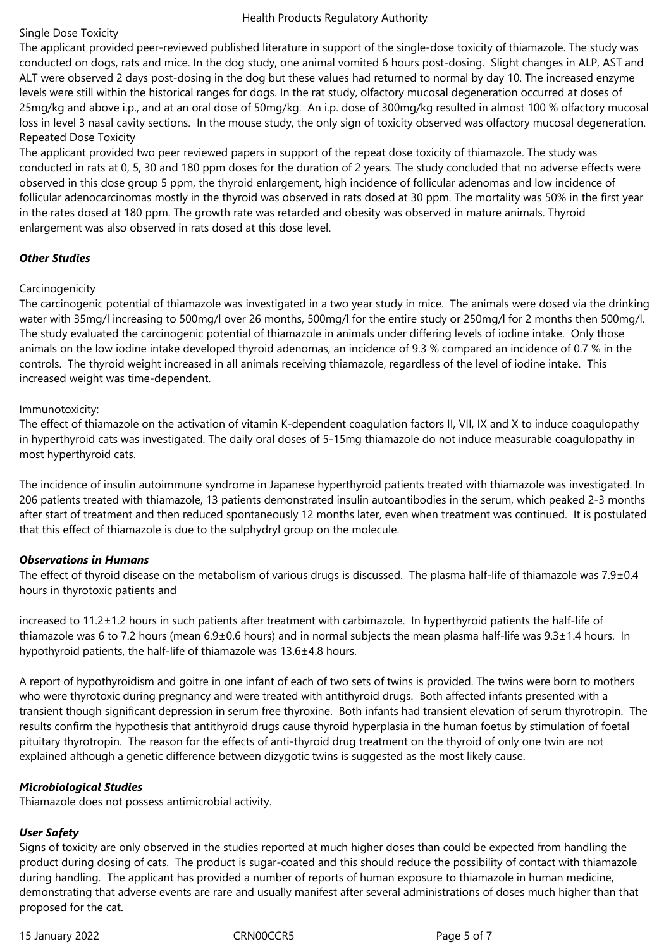#### Health Products Regulatory Authority

### Single Dose Toxicity

The applicant provided peer-reviewed published literature in support of the single-dose toxicity of thiamazole. The study was conducted on dogs, rats and mice. In the dog study, one animal vomited 6 hours post-dosing. Slight changes in ALP, AST and ALT were observed 2 days post-dosing in the dog but these values had returned to normal by day 10. The increased enzyme levels were still within the historical ranges for dogs. In the rat study, olfactory mucosal degeneration occurred at doses of 25mg/kg and above i.p., and at an oral dose of 50mg/kg. An i.p. dose of 300mg/kg resulted in almost 100 % olfactory mucosal loss in level 3 nasal cavity sections. In the mouse study, the only sign of toxicity observed was olfactory mucosal degeneration. Repeated Dose Toxicity

The applicant provided two peer reviewed papers in support of the repeat dose toxicity of thiamazole. The study was conducted in rats at 0, 5, 30 and 180 ppm doses for the duration of 2 years. The study concluded that no adverse effects were observed in this dose group 5 ppm, the thyroid enlargement, high incidence of follicular adenomas and low incidence of follicular adenocarcinomas mostly in the thyroid was observed in rats dosed at 30 ppm. The mortality was 50% in the first year in the rates dosed at 180 ppm. The growth rate was retarded and obesity was observed in mature animals. Thyroid enlargement was also observed in rats dosed at this dose level.

### *Other Studies*

### Carcinogenicity

The carcinogenic potential of thiamazole was investigated in a two year study in mice. The animals were dosed via the drinking water with 35mg/l increasing to 500mg/l over 26 months, 500mg/l for the entire study or 250mg/l for 2 months then 500mg/l. The study evaluated the carcinogenic potential of thiamazole in animals under differing levels of iodine intake. Only those animals on the low iodine intake developed thyroid adenomas, an incidence of 9.3 % compared an incidence of 0.7 % in the controls. The thyroid weight increased in all animals receiving thiamazole, regardless of the level of iodine intake. This increased weight was time-dependent.

#### Immunotoxicity:

The effect of thiamazole on the activation of vitamin K-dependent coagulation factors II, VII, IX and X to induce coagulopathy in hyperthyroid cats was investigated. The daily oral doses of 5-15mg thiamazole do not induce measurable coagulopathy in most hyperthyroid cats.

The incidence of insulin autoimmune syndrome in Japanese hyperthyroid patients treated with thiamazole was investigated. In 206 patients treated with thiamazole, 13 patients demonstrated insulin autoantibodies in the serum, which peaked 2-3 months after start of treatment and then reduced spontaneously 12 months later, even when treatment was continued. It is postulated that this effect of thiamazole is due to the sulphydryl group on the molecule.

# *Observations in Humans*

The effect of thyroid disease on the metabolism of various drugs is discussed. The plasma half-life of thiamazole was  $7.9\pm0.4$ hours in thyrotoxic patients and

increased to 11.2±1.2 hours in such patients after treatment with carbimazole. In hyperthyroid patients the half-life of thiamazole was 6 to 7.2 hours (mean 6.9±0.6 hours) and in normal subjects the mean plasma half-life was 9.3±1.4 hours. In hypothyroid patients, the half-life of thiamazole was 13.6±4.8 hours.

A report of hypothyroidism and goitre in one infant of each of two sets of twins is provided. The twins were born to mothers who were thyrotoxic during pregnancy and were treated with antithyroid drugs. Both affected infants presented with a transient though significant depression in serum free thyroxine. Both infants had transient elevation of serum thyrotropin. The results confirm the hypothesis that antithyroid drugs cause thyroid hyperplasia in the human foetus by stimulation of foetal pituitary thyrotropin. The reason for the effects of anti-thyroid drug treatment on the thyroid of only one twin are not explained although a genetic difference between dizygotic twins is suggested as the most likely cause.

# *Microbiological Studies*

Thiamazole does not possess antimicrobial activity.

# *User Safety*

Signs of toxicity are only observed in the studies reported at much higher doses than could be expected from handling the product during dosing of cats. The product is sugar-coated and this should reduce the possibility of contact with thiamazole during handling. The applicant has provided a number of reports of human exposure to thiamazole in human medicine, demonstrating that adverse events are rare and usually manifest after several administrations of doses much higher than that proposed for the cat.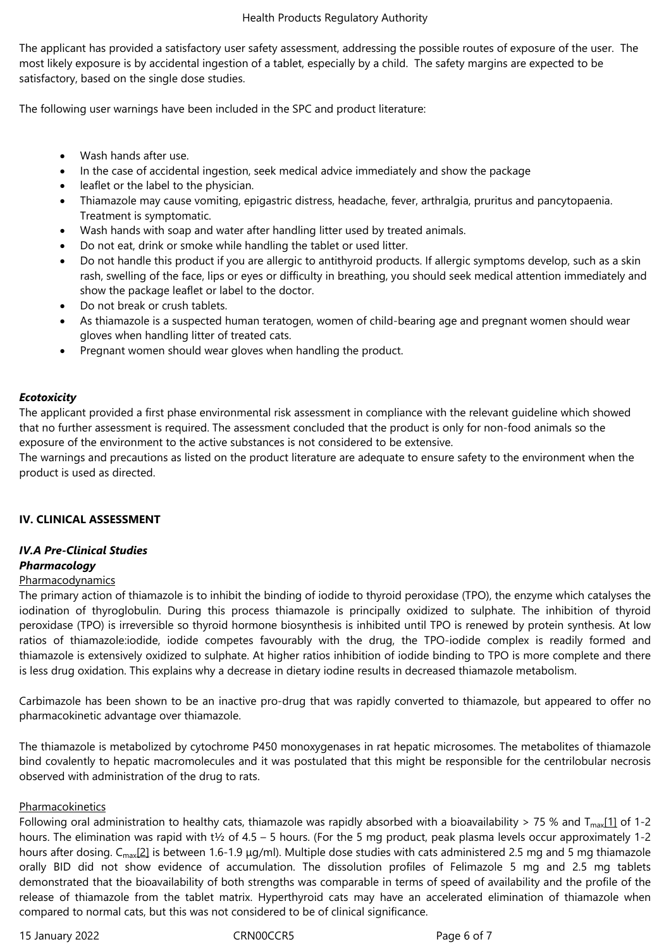The applicant has provided a satisfactory user safety assessment, addressing the possible routes of exposure of the user. The most likely exposure is by accidental ingestion of a tablet, especially by a child. The safety margins are expected to be satisfactory, based on the single dose studies.

The following user warnings have been included in the SPC and product literature:

- Wash hands after use.
- In the case of accidental ingestion, seek medical advice immediately and show the package
- leaflet or the label to the physician.
- Thiamazole may cause vomiting, epigastric distress, headache, fever, arthralgia, pruritus and pancytopaenia. Treatment is symptomatic.
- Wash hands with soap and water after handling litter used by treated animals.
- Do not eat, drink or smoke while handling the tablet or used litter.
- Do not handle this product if you are allergic to antithyroid products. If allergic symptoms develop, such as a skin rash, swelling of the face, lips or eyes or difficulty in breathing, you should seek medical attention immediately and show the package leaflet or label to the doctor.
- Do not break or crush tablets.
- As thiamazole is a suspected human teratogen, women of child-bearing age and pregnant women should wear gloves when handling litter of treated cats.
- Pregnant women should wear gloves when handling the product.

### *Ecotoxicity*

The applicant provided a first phase environmental risk assessment in compliance with the relevant guideline which showed that no further assessment is required. The assessment concluded that the product is only for non-food animals so the exposure of the environment to the active substances is not considered to be extensive.

The warnings and precautions as listed on the product literature are adequate to ensure safety to the environment when the product is used as directed.

#### **IV. CLINICAL ASSESSMENT**

# *IV.A Pre-Clinical Studies*

# *Pharmacology*

### Pharmacodynamics

The primary action of thiamazole is to inhibit the binding of iodide to thyroid peroxidase (TPO), the enzyme which catalyses the iodination of thyroglobulin. During this process thiamazole is principally oxidized to sulphate. The inhibition of thyroid peroxidase (TPO) is irreversible so thyroid hormone biosynthesis is inhibited until TPO is renewed by protein synthesis. At low ratios of thiamazole:iodide, iodide competes favourably with the drug, the TPO-iodide complex is readily formed and thiamazole is extensively oxidized to sulphate. At higher ratios inhibition of iodide binding to TPO is more complete and there is less drug oxidation. This explains why a decrease in dietary iodine results in decreased thiamazole metabolism.

Carbimazole has been shown to be an inactive pro-drug that was rapidly converted to thiamazole, but appeared to offer no pharmacokinetic advantage over thiamazole.

The thiamazole is metabolized by cytochrome P450 monoxygenases in rat hepatic microsomes. The metabolites of thiamazole bind covalently to hepatic macromolecules and it was postulated that this might be responsible for the centrilobular necrosis observed with administration of the drug to rats.

#### Pharmacokinetics

Following oral administration to healthy cats, thiamazole was rapidly absorbed with a bioavailability > 75 % and  $T_{max}[1]$  of 1-2 hours. The elimination was rapid with t<sup>1</sup>/<sub>2</sub> of 4.5 – 5 hours. (For the 5 mg product, peak plasma levels occur approximately 1-2 hours after dosing. C<sub>max</sub>[2] is between 1.6-1.9  $\mu$ g/ml). Multiple dose studies with cats administered 2.5 mg and 5 mg thiamazole orally BID did not show evidence of accumulation. The dissolution profiles of Felimazole 5 mg and 2.5 mg tablets demonstrated that the bioavailability of both strengths was comparable in terms of speed of availability and the profile of the release of thiamazole from the tablet matrix. Hyperthyroid cats may have an accelerated elimination of thiamazole when compared to normal cats, but this was not considered to be of clinical significance.

15 January 2022 CRN00CCR5 Page 6 of 7